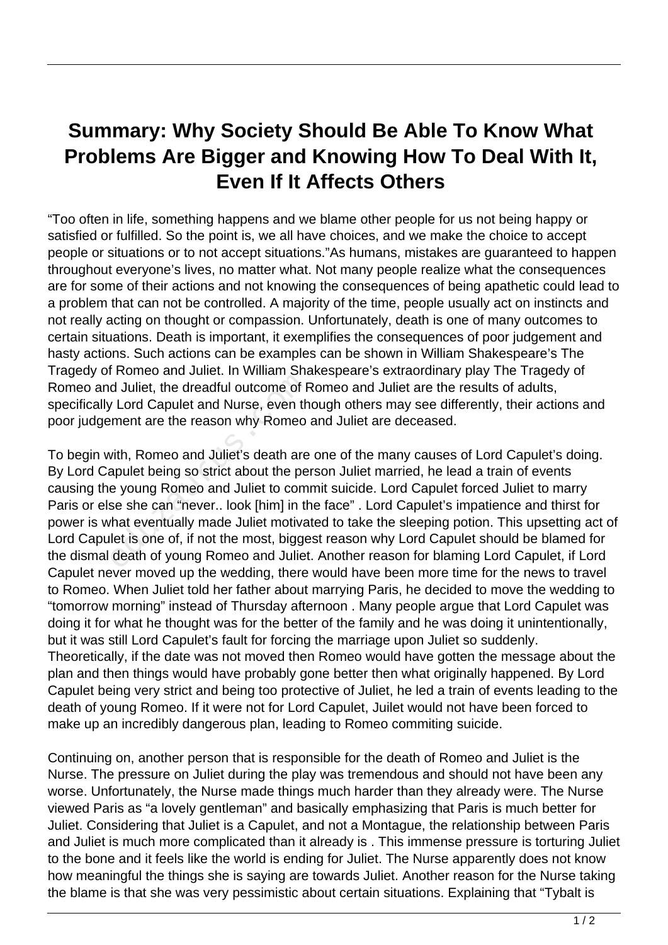## **Summary: Why Society Should Be Able To Know What Problems Are Bigger and Knowing How To Deal With It, Even If It Affects Others**

"Too often in life, something happens and we blame other people for us not being happy or satisfied or fulfilled. So the point is, we all have choices, and we make the choice to accept people or situations or to not accept situations."As humans, mistakes are guaranteed to happen throughout everyone's lives, no matter what. Not many people realize what the consequences are for some of their actions and not knowing the consequences of being apathetic could lead to a problem that can not be controlled. A majority of the time, people usually act on instincts and not really acting on thought or compassion. Unfortunately, death is one of many outcomes to certain situations. Death is important, it exemplifies the consequences of poor judgement and hasty actions. Such actions can be examples can be shown in William Shakespeare's The Tragedy of Romeo and Juliet. In William Shakespeare's extraordinary play The Tragedy of Romeo and Juliet, the dreadful outcome of Romeo and Juliet are the results of adults, specifically Lord Capulet and Nurse, even though others may see differently, their actions and poor judgement are the reason why Romeo and Juliet are deceased.

To begin with, Romeo and Juliet's death are one of the many causes of Lord Capulet's doing. By Lord Capulet being so strict about the person Juliet married, he lead a train of events causing the young Romeo and Juliet to commit suicide. Lord Capulet forced Juliet to marry Paris or else she can "never.. look [him] in the face" . Lord Capulet's impatience and thirst for power is what eventually made Juliet motivated to take the sleeping potion. This upsetting act of Lord Capulet is one of, if not the most, biggest reason why Lord Capulet should be blamed for the dismal death of young Romeo and Juliet. Another reason for blaming Lord Capulet, if Lord Capulet never moved up the wedding, there would have been more time for the news to travel to Romeo. When Juliet told her father about marrying Paris, he decided to move the wedding to "tomorrow morning" instead of Thursday afternoon . Many people argue that Lord Capulet was doing it for what he thought was for the better of the family and he was doing it unintentionally, but it was still Lord Capulet's fault for forcing the marriage upon Juliet so suddenly. Theoretically, if the date was not moved then Romeo would have gotten the message about the plan and then things would have probably gone better then what originally happened. By Lord Capulet being very strict and being too protective of Juliet, he led a train of events leading to the death of young Romeo. If it were not for Lord Capulet, Juilet would not have been forced to make up an incredibly dangerous plan, leading to Romeo commiting suicide. d Juliet, the dreadful outcome of F<br>
v Lord Capulet and Nurse, even th<br>
rment are the reason why Romeo<br>
vith, Romeo and Juliet's death are<br>
apulet being so strict about the pe<br>
e young Romeo and Juliet to com<br>
se she can "

Continuing on, another person that is responsible for the death of Romeo and Juliet is the Nurse. The pressure on Juliet during the play was tremendous and should not have been any worse. Unfortunately, the Nurse made things much harder than they already were. The Nurse viewed Paris as "a lovely gentleman" and basically emphasizing that Paris is much better for Juliet. Considering that Juliet is a Capulet, and not a Montague, the relationship between Paris and Juliet is much more complicated than it already is . This immense pressure is torturing Juliet to the bone and it feels like the world is ending for Juliet. The Nurse apparently does not know how meaningful the things she is saying are towards Juliet. Another reason for the Nurse taking the blame is that she was very pessimistic about certain situations. Explaining that "Tybalt is